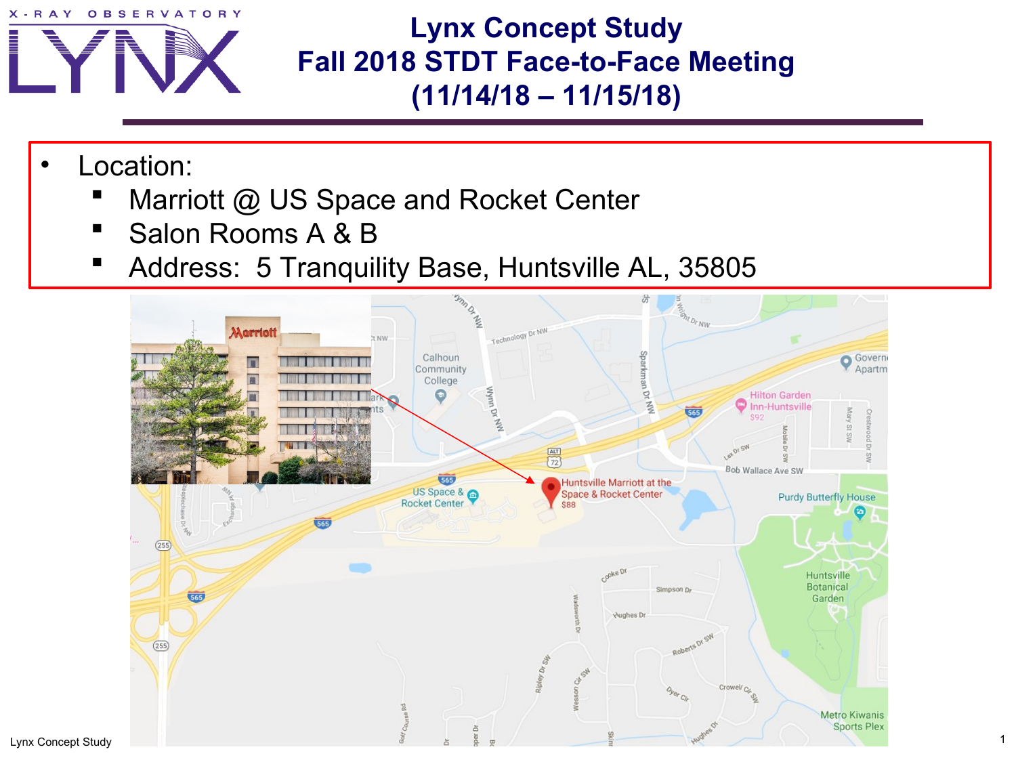

**Lynx Concept Study Fall 2018 STDT Face-to-Face Meeting (11/14/18 – 11/15/18)**

- Location:
	- Marriott @ US Space and Rocket Center
	- Salon Rooms A & B
	- **Address: 5 Tranquility Base, Huntsville AL, 35805**

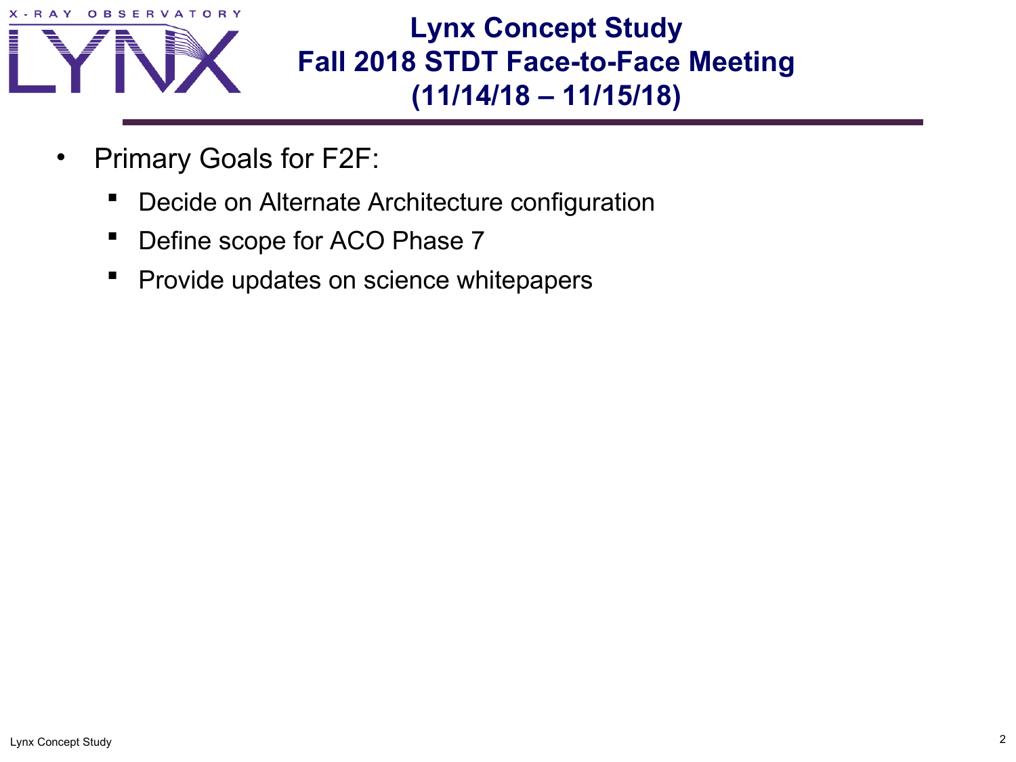



**Lynx Concept Study Fall 2018 STDT Face-to-Face Meeting (11/14/18 – 11/15/18)**

- Primary Goals for F2F:
	- Decide on Alternate Architecture configuration
	- Define scope for ACO Phase 7
	- Provide updates on science whitepapers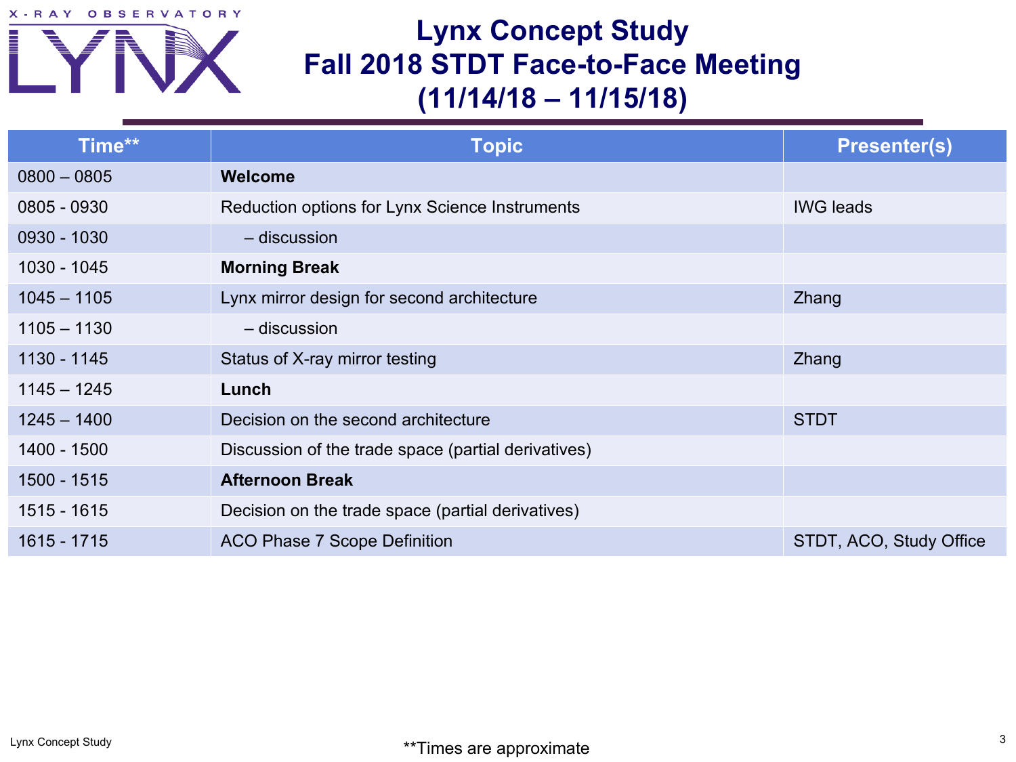X-RAY OBSERVATORY



## **Lynx Concept Study Fall 2018 STDT Face-to-Face Meeting (11/14/18 – 11/15/18)**

| Time**        | <b>Topic</b>                                        | <b>Presenter(s)</b>     |
|---------------|-----------------------------------------------------|-------------------------|
| $0800 - 0805$ | <b>Welcome</b>                                      |                         |
| 0805 - 0930   | Reduction options for Lynx Science Instruments      | <b>IWG leads</b>        |
| 0930 - 1030   | $-$ discussion                                      |                         |
| 1030 - 1045   | <b>Morning Break</b>                                |                         |
| $1045 - 1105$ | Lynx mirror design for second architecture          | Zhang                   |
| $1105 - 1130$ | - discussion                                        |                         |
| 1130 - 1145   | Status of X-ray mirror testing                      | Zhang                   |
| $1145 - 1245$ | Lunch                                               |                         |
| $1245 - 1400$ | Decision on the second architecture                 | <b>STDT</b>             |
| 1400 - 1500   | Discussion of the trade space (partial derivatives) |                         |
| 1500 - 1515   | <b>Afternoon Break</b>                              |                         |
| 1515 - 1615   | Decision on the trade space (partial derivatives)   |                         |
| 1615 - 1715   | <b>ACO Phase 7 Scope Definition</b>                 | STDT, ACO, Study Office |